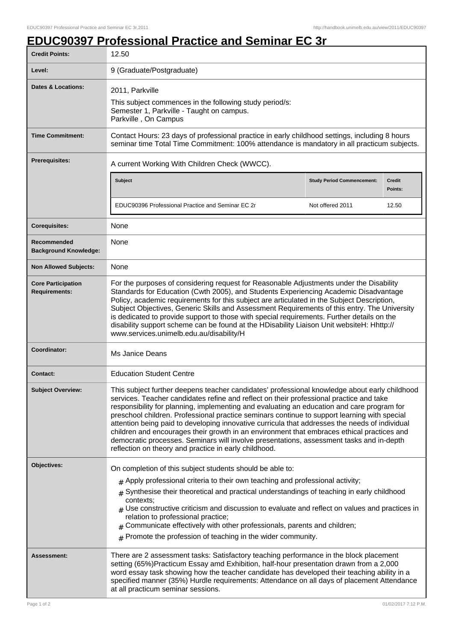## **EDUC90397 Professional Practice and Seminar EC 3r**

| <b>Credit Points:</b>                             | 12.50                                                                                                                                                                                                                                                                                                                                                                                                                                                                                                                                                                                                                                                                                                                                       |                                   |                          |
|---------------------------------------------------|---------------------------------------------------------------------------------------------------------------------------------------------------------------------------------------------------------------------------------------------------------------------------------------------------------------------------------------------------------------------------------------------------------------------------------------------------------------------------------------------------------------------------------------------------------------------------------------------------------------------------------------------------------------------------------------------------------------------------------------------|-----------------------------------|--------------------------|
| Level:                                            | 9 (Graduate/Postgraduate)                                                                                                                                                                                                                                                                                                                                                                                                                                                                                                                                                                                                                                                                                                                   |                                   |                          |
| <b>Dates &amp; Locations:</b>                     | 2011, Parkville<br>This subject commences in the following study period/s:<br>Semester 1, Parkville - Taught on campus.<br>Parkville, On Campus                                                                                                                                                                                                                                                                                                                                                                                                                                                                                                                                                                                             |                                   |                          |
| <b>Time Commitment:</b>                           | Contact Hours: 23 days of professional practice in early childhood settings, including 8 hours<br>seminar time Total Time Commitment: 100% attendance is mandatory in all practicum subjects.                                                                                                                                                                                                                                                                                                                                                                                                                                                                                                                                               |                                   |                          |
| <b>Prerequisites:</b>                             | A current Working With Children Check (WWCC).                                                                                                                                                                                                                                                                                                                                                                                                                                                                                                                                                                                                                                                                                               |                                   |                          |
|                                                   | <b>Subject</b>                                                                                                                                                                                                                                                                                                                                                                                                                                                                                                                                                                                                                                                                                                                              | <b>Study Period Commencement:</b> | <b>Credit</b><br>Points: |
|                                                   | EDUC90396 Professional Practice and Seminar EC 2r                                                                                                                                                                                                                                                                                                                                                                                                                                                                                                                                                                                                                                                                                           | Not offered 2011                  | 12.50                    |
| <b>Corequisites:</b>                              | None                                                                                                                                                                                                                                                                                                                                                                                                                                                                                                                                                                                                                                                                                                                                        |                                   |                          |
| Recommended<br><b>Background Knowledge:</b>       | None                                                                                                                                                                                                                                                                                                                                                                                                                                                                                                                                                                                                                                                                                                                                        |                                   |                          |
| <b>Non Allowed Subjects:</b>                      | None                                                                                                                                                                                                                                                                                                                                                                                                                                                                                                                                                                                                                                                                                                                                        |                                   |                          |
| <b>Core Participation</b><br><b>Requirements:</b> | For the purposes of considering request for Reasonable Adjustments under the Disability<br>Standards for Education (Cwth 2005), and Students Experiencing Academic Disadvantage<br>Policy, academic requirements for this subject are articulated in the Subject Description,<br>Subject Objectives, Generic Skills and Assessment Requirements of this entry. The University<br>is dedicated to provide support to those with special requirements. Further details on the<br>disability support scheme can be found at the HDisability Liaison Unit websiteH: Hhttp://<br>www.services.unimelb.edu.au/disability/H                                                                                                                        |                                   |                          |
| Coordinator:                                      | Ms Janice Deans                                                                                                                                                                                                                                                                                                                                                                                                                                                                                                                                                                                                                                                                                                                             |                                   |                          |
| <b>Contact:</b>                                   | <b>Education Student Centre</b>                                                                                                                                                                                                                                                                                                                                                                                                                                                                                                                                                                                                                                                                                                             |                                   |                          |
| Subject Overview:                                 | This subject further deepens teacher candidates' professional knowledge about early childhood<br>services. Teacher candidates refine and reflect on their professional practice and take<br>responsibility for planning, implementing and evaluating an education and care program for<br>preschool children. Professional practice seminars continue to support learning with special<br>attention being paid to developing innovative curricula that addresses the needs of individual<br>children and encourages their growth in an environment that embraces ethical practices and<br>democratic processes. Seminars will involve presentations, assessment tasks and in-depth<br>reflection on theory and practice in early childhood. |                                   |                          |
| Objectives:                                       | On completion of this subject students should be able to:                                                                                                                                                                                                                                                                                                                                                                                                                                                                                                                                                                                                                                                                                   |                                   |                          |
|                                                   | $#$ Apply professional criteria to their own teaching and professional activity;                                                                                                                                                                                                                                                                                                                                                                                                                                                                                                                                                                                                                                                            |                                   |                          |
|                                                   | $*$ Synthesise their theoretical and practical understandings of teaching in early childhood<br>contexts:                                                                                                                                                                                                                                                                                                                                                                                                                                                                                                                                                                                                                                   |                                   |                          |
|                                                   | $_{\#}$ Use constructive criticism and discussion to evaluate and reflect on values and practices in<br>relation to professional practice;<br>Communicate effectively with other professionals, parents and children;                                                                                                                                                                                                                                                                                                                                                                                                                                                                                                                       |                                   |                          |
|                                                   | $#$ Promote the profession of teaching in the wider community.                                                                                                                                                                                                                                                                                                                                                                                                                                                                                                                                                                                                                                                                              |                                   |                          |
| Assessment:                                       | There are 2 assessment tasks: Satisfactory teaching performance in the block placement<br>setting (65%)Practicum Essay amd Exhibition, half-hour presentation drawn from a 2,000<br>word essay task showing how the teacher candidate has developed their teaching ability in a<br>specified manner (35%) Hurdle requirements: Attendance on all days of placement Attendance<br>at all practicum seminar sessions.                                                                                                                                                                                                                                                                                                                         |                                   |                          |